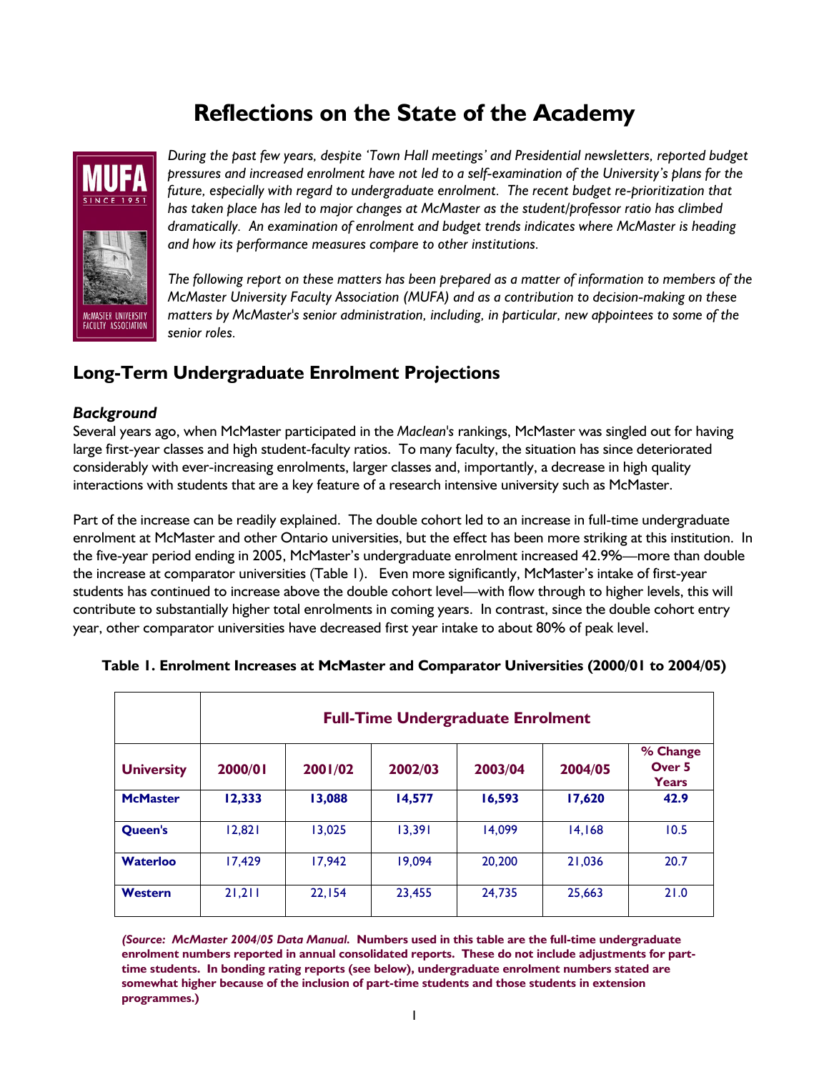# **Reflections on the State of the Academy**



*During the past few years, despite 'Town Hall meetings' and Presidential newsletters, reported budget pressures and increased enrolment have not led to a self-examination of the University's plans for the future, especially with regard to undergraduate enrolment. The recent budget re-prioritization that has taken place has led to major changes at McMaster as the student/professor ratio has climbed dramatically. An examination of enrolment and budget trends indicates where McMaster is heading and how its performance measures compare to other institutions.* 

*The following report on these matters has been prepared as a matter of information to members of the McMaster University Faculty Association (MUFA) and as a contribution to decision-making on these matters by McMaster's senior administration, including, in particular, new appointees to some of the senior roles.* 

## **Long-Term Undergraduate Enrolment Projections**

### *Background*

Several years ago, when McMaster participated in the *Maclean's* rankings, McMaster was singled out for having large first-year classes and high student-faculty ratios. To many faculty, the situation has since deteriorated considerably with ever-increasing enrolments, larger classes and, importantly, a decrease in high quality interactions with students that are a key feature of a research intensive university such as McMaster.

Part of the increase can be readily explained. The double cohort led to an increase in full-time undergraduate enrolment at McMaster and other Ontario universities, but the effect has been more striking at this institution. In the five-year period ending in 2005, McMaster's undergraduate enrolment increased 42.9%—more than double the increase at comparator universities (Table 1). Even more significantly, McMaster's intake of first-year students has continued to increase above the double cohort level—with flow through to higher levels, this will contribute to substantially higher total enrolments in coming years. In contrast, since the double cohort entry year, other comparator universities have decreased first year intake to about 80% of peak level.

|                   | <b>Full-Time Undergraduate Enrolment</b> |         |         |         |         |                                               |
|-------------------|------------------------------------------|---------|---------|---------|---------|-----------------------------------------------|
| <b>University</b> | 2000/01                                  | 2001/02 | 2002/03 | 2003/04 | 2004/05 | % Change<br>Over <sub>5</sub><br><b>Years</b> |
| <b>McMaster</b>   | 12,333                                   | 13,088  | 14,577  | 16,593  | 17,620  | 42.9                                          |
| Queen's           | 12,821                                   | 13,025  | 13.391  | 14.099  | 14.168  | 10.5                                          |
| <b>Waterloo</b>   | 17.429                                   | 17.942  | 19.094  | 20,200  | 21.036  | 20.7                                          |
| Western           | 21,211                                   | 22.154  | 23.455  | 24.735  | 25,663  | 21.0                                          |

#### **Table 1. Enrolment Increases at McMaster and Comparator Universities (2000/01 to 2004/05)**

*(Source: McMaster 2004/05 Data Manual.* **Numbers used in this table are the full-time undergraduate enrolment numbers reported in annual consolidated reports. These do not include adjustments for parttime students. In bonding rating reports (see below), undergraduate enrolment numbers stated are somewhat higher because of the inclusion of part-time students and those students in extension programmes.)**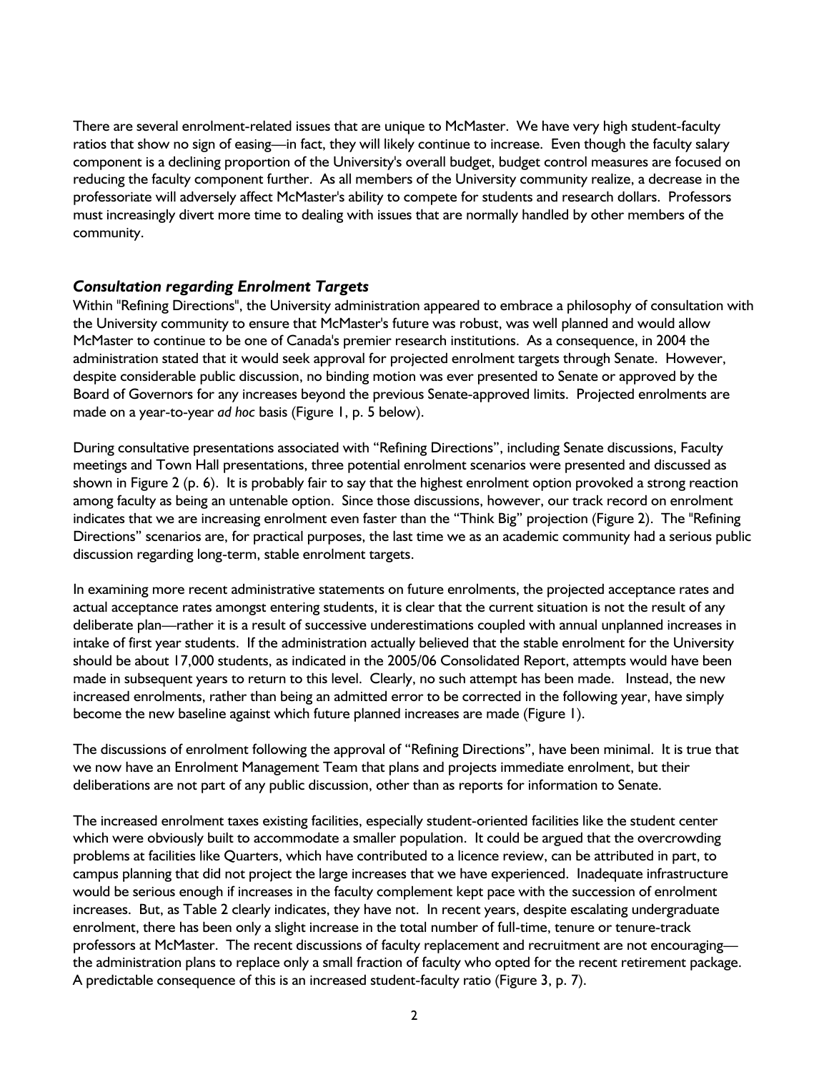There are several enrolment-related issues that are unique to McMaster. We have very high student-faculty ratios that show no sign of easing—in fact, they will likely continue to increase. Even though the faculty salary component is a declining proportion of the University's overall budget, budget control measures are focused on reducing the faculty component further. As all members of the University community realize, a decrease in the professoriate will adversely affect McMaster's ability to compete for students and research dollars. Professors must increasingly divert more time to dealing with issues that are normally handled by other members of the community.

#### *Consultation regarding Enrolment Targets*

Within "Refining Directions", the University administration appeared to embrace a philosophy of consultation with the University community to ensure that McMaster's future was robust, was well planned and would allow McMaster to continue to be one of Canada's premier research institutions. As a consequence, in 2004 the administration stated that it would seek approval for projected enrolment targets through Senate. However, despite considerable public discussion, no binding motion was ever presented to Senate or approved by the Board of Governors for any increases beyond the previous Senate-approved limits. Projected enrolments are made on a year-to-year *ad hoc* basis (Figure 1, p. 5 below).

During consultative presentations associated with "Refining Directions", including Senate discussions, Faculty meetings and Town Hall presentations, three potential enrolment scenarios were presented and discussed as shown in Figure 2 (p. 6). It is probably fair to say that the highest enrolment option provoked a strong reaction among faculty as being an untenable option. Since those discussions, however, our track record on enrolment indicates that we are increasing enrolment even faster than the "Think Big" projection (Figure 2). The "Refining Directions" scenarios are, for practical purposes, the last time we as an academic community had a serious public discussion regarding long-term, stable enrolment targets.

In examining more recent administrative statements on future enrolments, the projected acceptance rates and actual acceptance rates amongst entering students, it is clear that the current situation is not the result of any deliberate plan—rather it is a result of successive underestimations coupled with annual unplanned increases in intake of first year students. If the administration actually believed that the stable enrolment for the University should be about 17,000 students, as indicated in the 2005/06 Consolidated Report, attempts would have been made in subsequent years to return to this level. Clearly, no such attempt has been made. Instead, the new increased enrolments, rather than being an admitted error to be corrected in the following year, have simply become the new baseline against which future planned increases are made (Figure 1).

The discussions of enrolment following the approval of "Refining Directions", have been minimal. It is true that we now have an Enrolment Management Team that plans and projects immediate enrolment, but their deliberations are not part of any public discussion, other than as reports for information to Senate.

The increased enrolment taxes existing facilities, especially student-oriented facilities like the student center which were obviously built to accommodate a smaller population. It could be argued that the overcrowding problems at facilities like Quarters, which have contributed to a licence review, can be attributed in part, to campus planning that did not project the large increases that we have experienced. Inadequate infrastructure would be serious enough if increases in the faculty complement kept pace with the succession of enrolment increases. But, as Table 2 clearly indicates, they have not. In recent years, despite escalating undergraduate enrolment, there has been only a slight increase in the total number of full-time, tenure or tenure-track professors at McMaster. The recent discussions of faculty replacement and recruitment are not encouraging the administration plans to replace only a small fraction of faculty who opted for the recent retirement package. A predictable consequence of this is an increased student-faculty ratio (Figure 3, p. 7).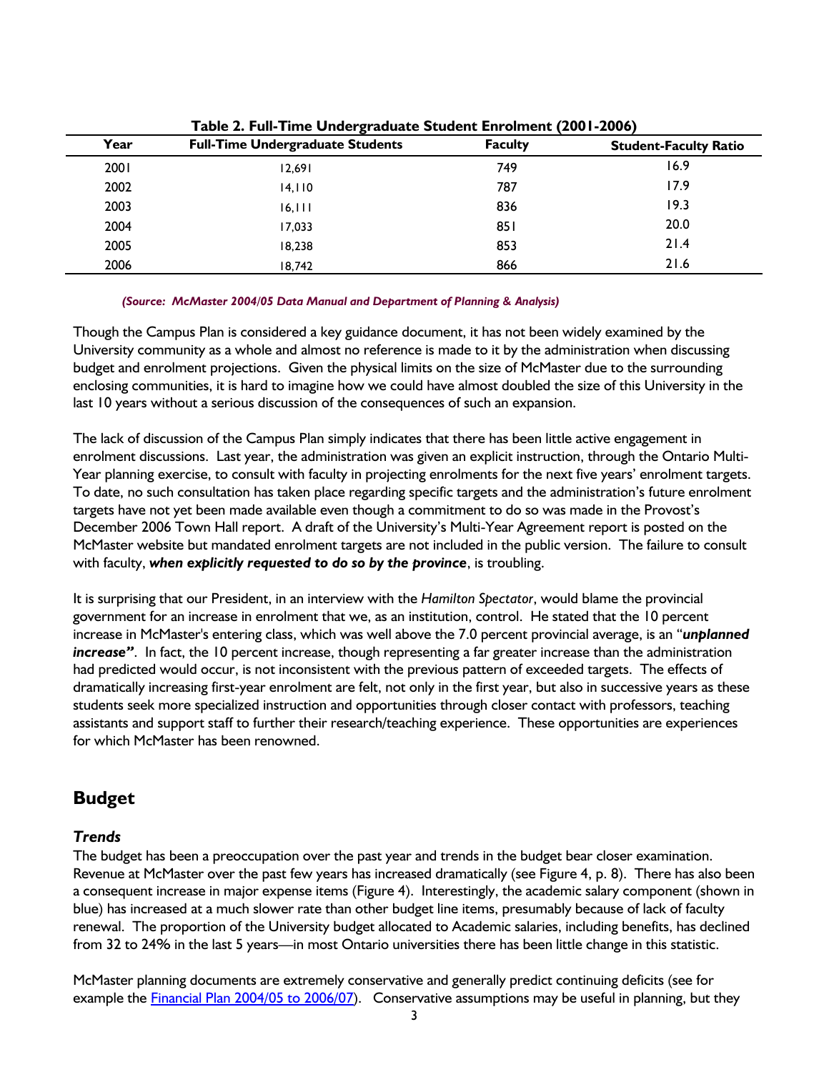| Year | <b>Full-Time Undergraduate Students</b> | <b>Faculty</b> | <b>Student-Faculty Ratio</b> |  |  |  |  |
|------|-----------------------------------------|----------------|------------------------------|--|--|--|--|
| 2001 | 12,691                                  | 749            | 16.9                         |  |  |  |  |
| 2002 | 14,110                                  | 787            | 17.9                         |  |  |  |  |
| 2003 | 16, 111                                 | 836            | 19.3                         |  |  |  |  |
| 2004 | 17,033                                  | 851            | 20.0                         |  |  |  |  |
| 2005 | 18,238                                  | 853            | 21.4                         |  |  |  |  |
| 2006 | 18.742                                  | 866            | 21.6                         |  |  |  |  |

**Table 2. Full-Time Undergraduate Student Enrolment (2001-2006)**

#### *(Source: McMaster 2004/05 Data Manual and Department of Planning & Analysis)*

Though the Campus Plan is considered a key guidance document, it has not been widely examined by the University community as a whole and almost no reference is made to it by the administration when discussing budget and enrolment projections. Given the physical limits on the size of McMaster due to the surrounding enclosing communities, it is hard to imagine how we could have almost doubled the size of this University in the last 10 years without a serious discussion of the consequences of such an expansion.

The lack of discussion of the Campus Plan simply indicates that there has been little active engagement in enrolment discussions. Last year, the administration was given an explicit instruction, through the Ontario Multi-Year planning exercise, to consult with faculty in projecting enrolments for the next five years' enrolment targets. To date, no such consultation has taken place regarding specific targets and the administration's future enrolment targets have not yet been made available even though a commitment to do so was made in the Provost's December 2006 Town Hall report. A draft of the University's Multi-Year Agreement report is posted on the McMaster website but mandated enrolment targets are not included in the public version. The failure to consult with faculty, *when explicitly requested to do so by the province*, is troubling.

It is surprising that our President, in an interview with the *Hamilton Spectator*, would blame the provincial government for an increase in enrolment that we, as an institution, control. He stated that the 10 percent increase in McMaster's entering class, which was well above the 7.0 percent provincial average, is an "*unplanned increase"*. In fact, the 10 percent increase, though representing a far greater increase than the administration had predicted would occur, is not inconsistent with the previous pattern of exceeded targets. The effects of dramatically increasing first-year enrolment are felt, not only in the first year, but also in successive years as these students seek more specialized instruction and opportunities through closer contact with professors, teaching assistants and support staff to further their research/teaching experience. These opportunities are experiences for which McMaster has been renowned.

### **Budget**

### *Trends*

The budget has been a preoccupation over the past year and trends in the budget bear closer examination. Revenue at McMaster over the past few years has increased dramatically (see Figure 4, p. 8). There has also been a consequent increase in major expense items (Figure 4). Interestingly, the academic salary component (shown in blue) has increased at a much slower rate than other budget line items, presumably because of lack of faculty renewal. The proportion of the University budget allocated to Academic salaries, including benefits, has declined from 32 to 24% in the last 5 years—in most Ontario universities there has been little change in this statistic.

McMaster planning documents are extremely conservative and generally predict continuing deficits (see for example the [Financial Plan 2004/05 to 2006/07](http://www.mcmaster.ca/bms/pdf/2004-05-finplan.pdf)). Conservative assumptions may be useful in planning, but they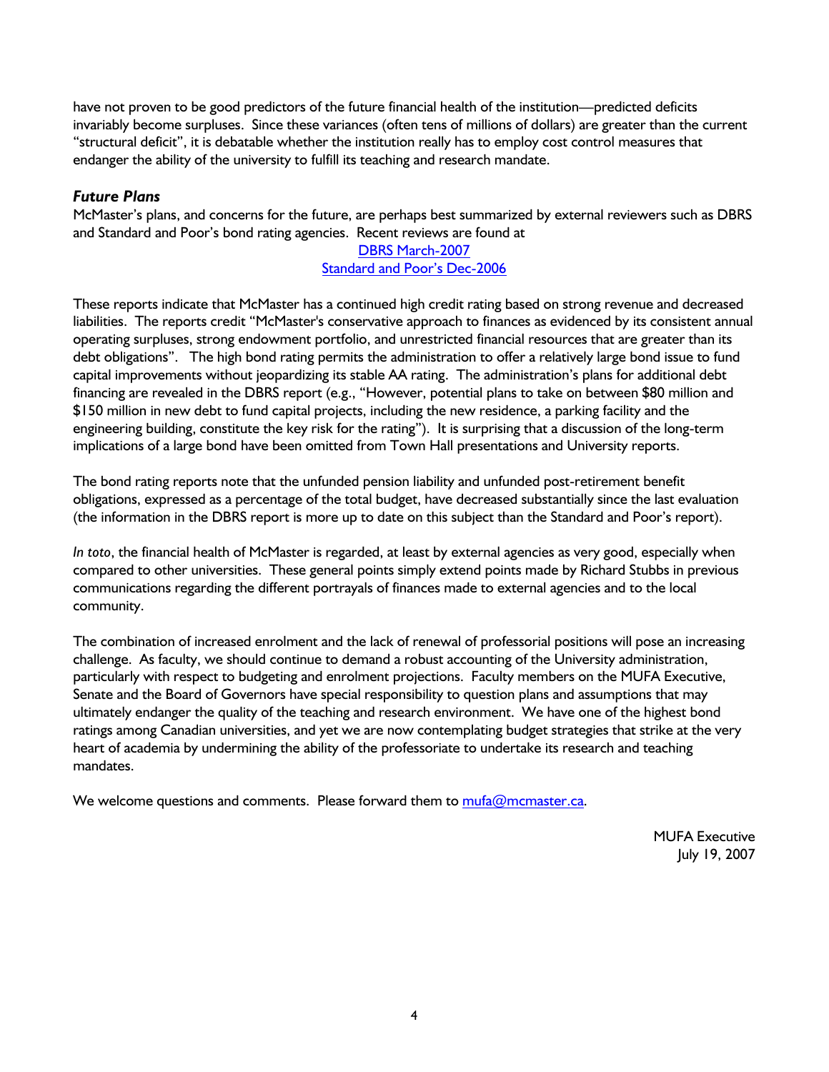have not proven to be good predictors of the future financial health of the institution—predicted deficits invariably become surpluses. Since these variances (often tens of millions of dollars) are greater than the current "structural deficit", it is debatable whether the institution really has to employ cost control measures that endanger the ability of the university to fulfill its teaching and research mandate.

### *Future Plans*

McMaster's plans, and concerns for the future, are perhaps best summarized by external reviewers such as DBRS and Standard and Poor's bond rating agencies. Recent reviews are found at

#### [DBRS March-2007](http://www.mcmaster.ca/bms/pdf/dbrs_report_March2007.pdf) [Standard and Poor's Dec-2006](http://www.mcmaster.ca/bms/pdf/S&P_report_December2006.pdf)

These reports indicate that McMaster has a continued high credit rating based on strong revenue and decreased liabilities. The reports credit "McMaster's conservative approach to finances as evidenced by its consistent annual operating surpluses, strong endowment portfolio, and unrestricted financial resources that are greater than its debt obligations". The high bond rating permits the administration to offer a relatively large bond issue to fund capital improvements without jeopardizing its stable AA rating. The administration's plans for additional debt financing are revealed in the DBRS report (e.g., "However, potential plans to take on between \$80 million and \$150 million in new debt to fund capital projects, including the new residence, a parking facility and the engineering building, constitute the key risk for the rating"). It is surprising that a discussion of the long-term implications of a large bond have been omitted from Town Hall presentations and University reports.

The bond rating reports note that the unfunded pension liability and unfunded post-retirement benefit obligations, expressed as a percentage of the total budget, have decreased substantially since the last evaluation (the information in the DBRS report is more up to date on this subject than the Standard and Poor's report).

*In toto*, the financial health of McMaster is regarded, at least by external agencies as very good, especially when compared to other universities. These general points simply extend points made by Richard Stubbs in previous communications regarding the different portrayals of finances made to external agencies and to the local community.

The combination of increased enrolment and the lack of renewal of professorial positions will pose an increasing challenge. As faculty, we should continue to demand a robust accounting of the University administration, particularly with respect to budgeting and enrolment projections. Faculty members on the MUFA Executive, Senate and the Board of Governors have special responsibility to question plans and assumptions that may ultimately endanger the quality of the teaching and research environment. We have one of the highest bond ratings among Canadian universities, and yet we are now contemplating budget strategies that strike at the very heart of academia by undermining the ability of the professoriate to undertake its research and teaching mandates.

We welcome questions and comments. Please forward them to [mufa@mcmaster.ca](mailto:mufa@mcmaster.ca).

MUFA Executive July 19, 2007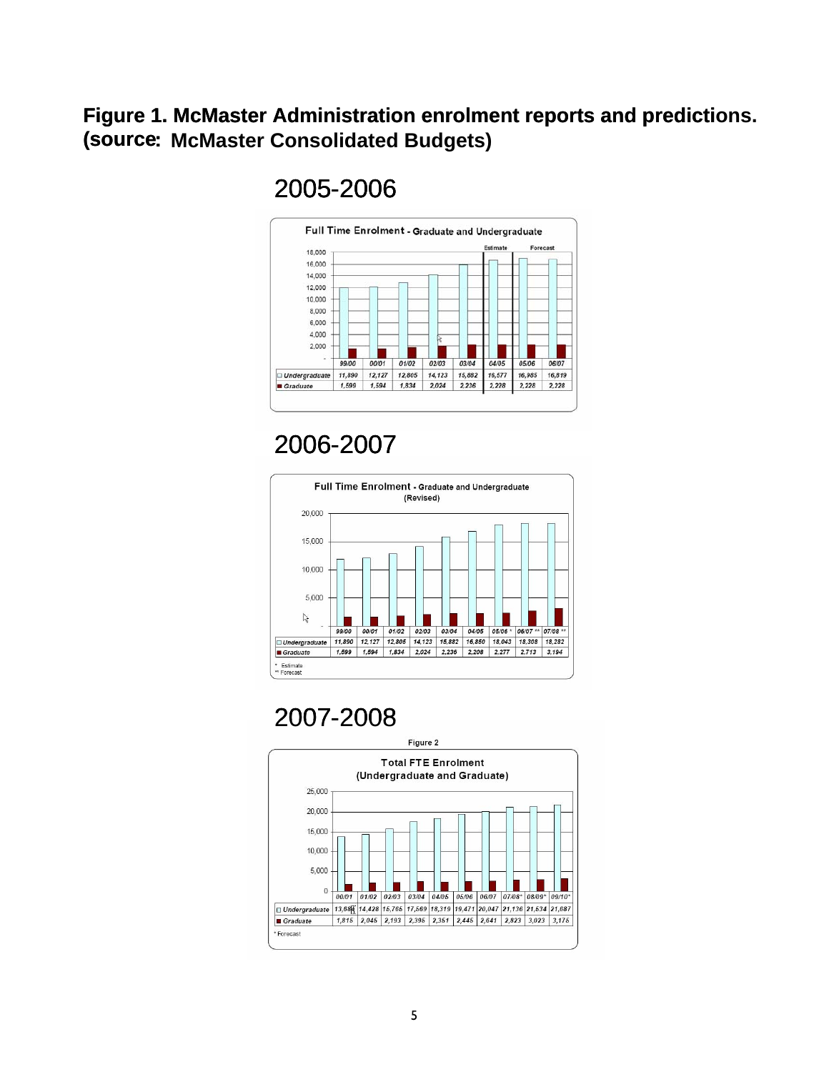# **Figure 1. McMaster Administration enrolment reports and predictions. (source: McMaster Consolidated Budgets)**

# 2005-2006



# 2006-2007



# 2007-2008

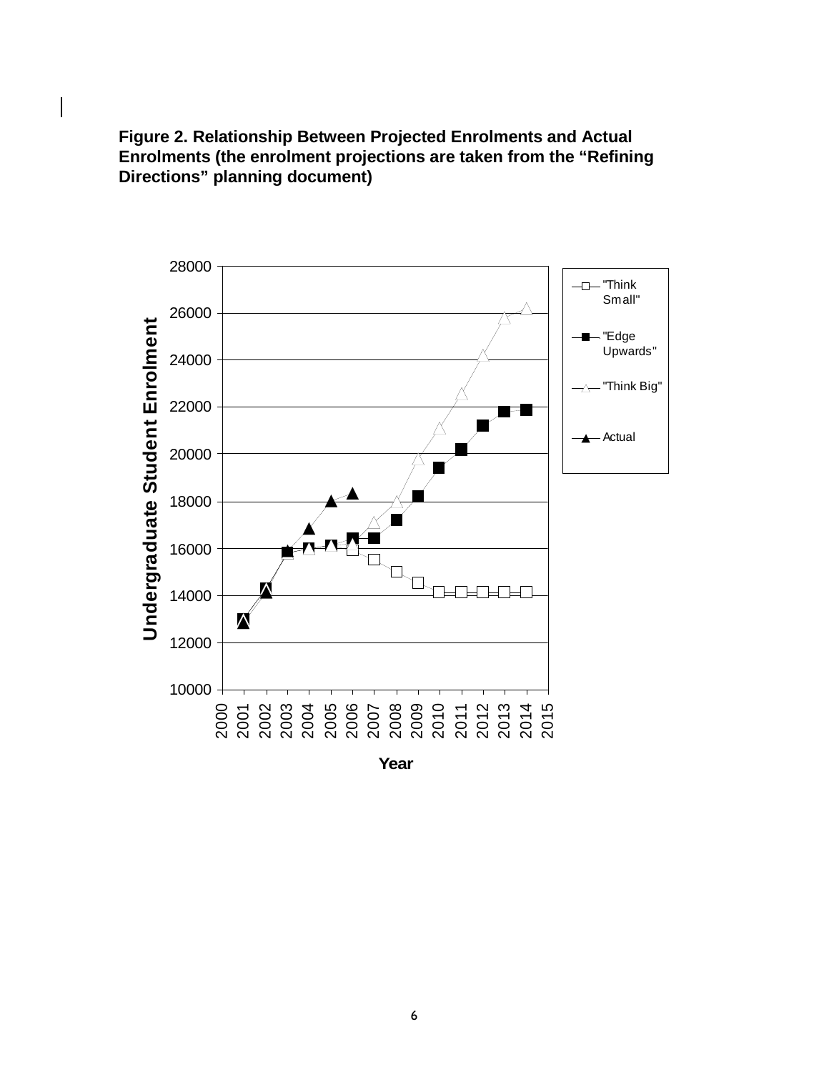



**Year**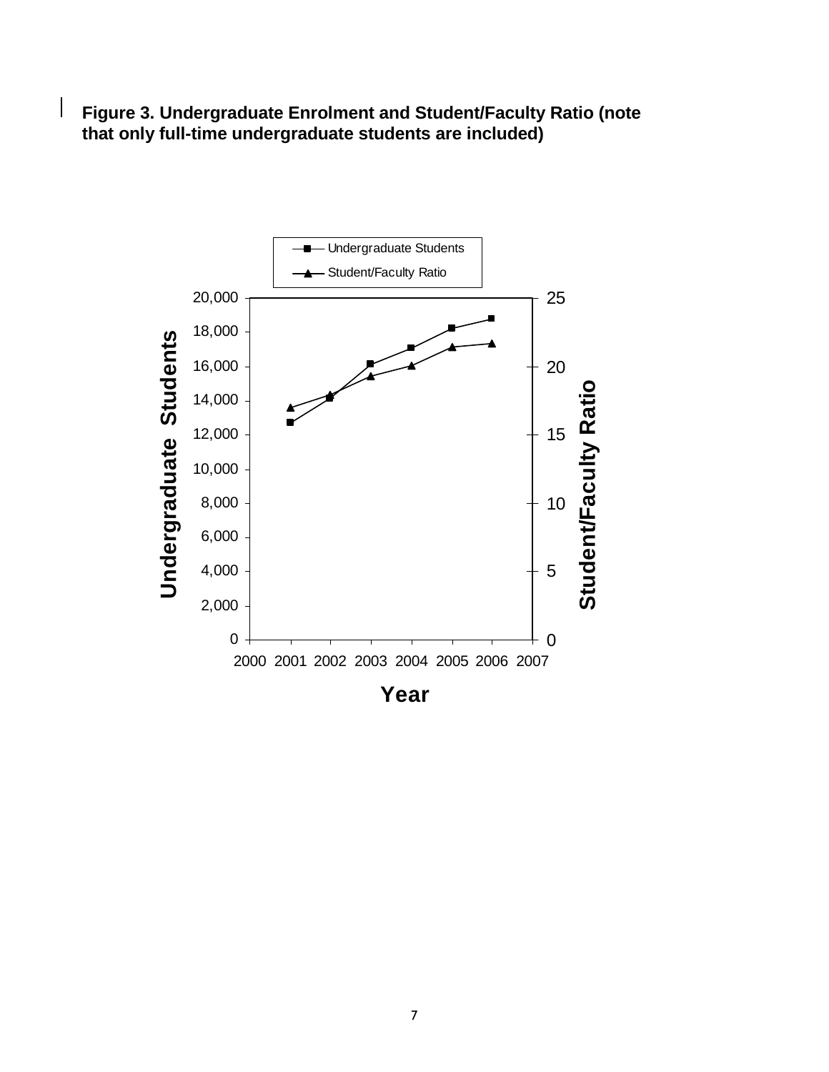**Figure 3. Undergraduate Enrolment and Student/Faculty Ratio (note that only full-time undergraduate students are included)**

 $\overline{\phantom{a}}$